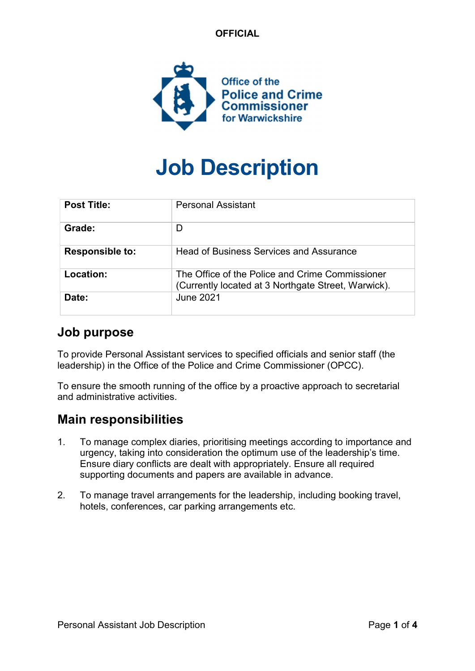

# Job Description

| <b>Post Title:</b>     | Personal Assistant                                                                                     |
|------------------------|--------------------------------------------------------------------------------------------------------|
| Grade:                 |                                                                                                        |
| <b>Responsible to:</b> | Head of Business Services and Assurance                                                                |
| Location:              | The Office of the Police and Crime Commissioner<br>(Currently located at 3 Northgate Street, Warwick). |
| Date:                  | <b>June 2021</b>                                                                                       |

### Job purpose

To provide Personal Assistant services to specified officials and senior staff (the leadership) in the Office of the Police and Crime Commissioner (OPCC).

To ensure the smooth running of the office by a proactive approach to secretarial and administrative activities.

## Main responsibilities

- 1. To manage complex diaries, prioritising meetings according to importance and urgency, taking into consideration the optimum use of the leadership's time. Ensure diary conflicts are dealt with appropriately. Ensure all required supporting documents and papers are available in advance.
- 2. To manage travel arrangements for the leadership, including booking travel, hotels, conferences, car parking arrangements etc.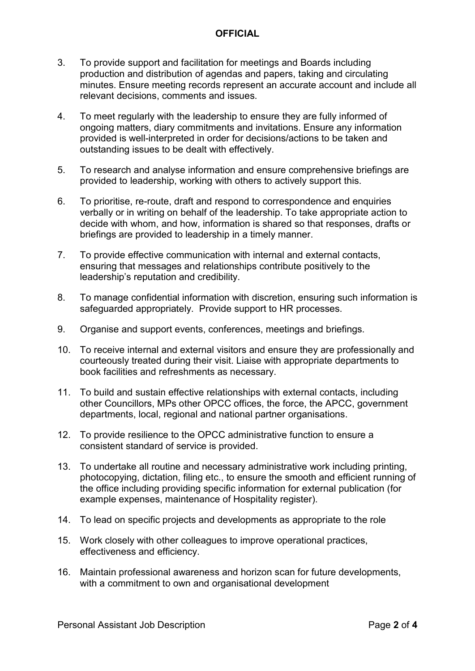- 3. To provide support and facilitation for meetings and Boards including production and distribution of agendas and papers, taking and circulating minutes. Ensure meeting records represent an accurate account and include all relevant decisions, comments and issues.
- 4. To meet regularly with the leadership to ensure they are fully informed of ongoing matters, diary commitments and invitations. Ensure any information provided is well-interpreted in order for decisions/actions to be taken and outstanding issues to be dealt with effectively.
- 5. To research and analyse information and ensure comprehensive briefings are provided to leadership, working with others to actively support this.
- 6. To prioritise, re-route, draft and respond to correspondence and enquiries verbally or in writing on behalf of the leadership. To take appropriate action to decide with whom, and how, information is shared so that responses, drafts or briefings are provided to leadership in a timely manner.
- 7. To provide effective communication with internal and external contacts, ensuring that messages and relationships contribute positively to the leadership's reputation and credibility.
- 8. To manage confidential information with discretion, ensuring such information is safeguarded appropriately. Provide support to HR processes.
- 9. Organise and support events, conferences, meetings and briefings.
- 10. To receive internal and external visitors and ensure they are professionally and courteously treated during their visit. Liaise with appropriate departments to book facilities and refreshments as necessary.
- 11. To build and sustain effective relationships with external contacts, including other Councillors, MPs other OPCC offices, the force, the APCC, government departments, local, regional and national partner organisations.
- 12. To provide resilience to the OPCC administrative function to ensure a consistent standard of service is provided.
- 13. To undertake all routine and necessary administrative work including printing, photocopying, dictation, filing etc., to ensure the smooth and efficient running of the office including providing specific information for external publication (for example expenses, maintenance of Hospitality register).
- 14. To lead on specific projects and developments as appropriate to the role
- 15. Work closely with other colleagues to improve operational practices, effectiveness and efficiency.
- 16. Maintain professional awareness and horizon scan for future developments, with a commitment to own and organisational development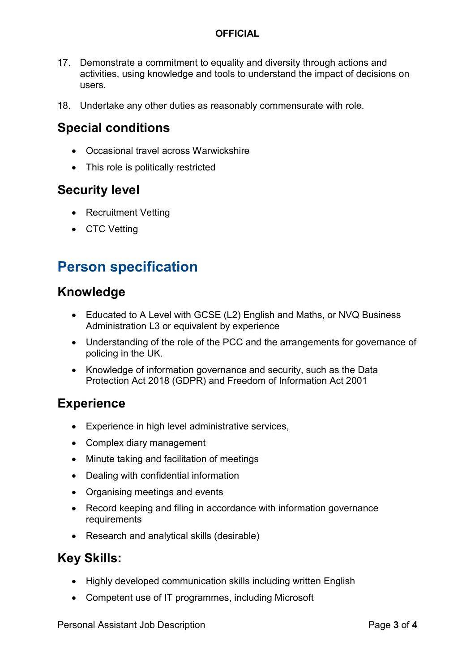- 17. Demonstrate a commitment to equality and diversity through actions and activities, using knowledge and tools to understand the impact of decisions on users.
- 18. Undertake any other duties as reasonably commensurate with role.

### Special conditions

- Occasional travel across Warwickshire
- This role is politically restricted

### Security level

- Recruitment Vetting
- CTC Vetting

# Person specification

### Knowledge

- Educated to A Level with GCSE (L2) English and Maths, or NVQ Business Administration L3 or equivalent by experience
- Understanding of the role of the PCC and the arrangements for governance of policing in the UK.
- Knowledge of information governance and security, such as the Data Protection Act 2018 (GDPR) and Freedom of Information Act 2001

### **Experience**

- Experience in high level administrative services,
- Complex diary management
- Minute taking and facilitation of meetings
- Dealing with confidential information
- Organising meetings and events
- Record keeping and filing in accordance with information governance requirements
- Research and analytical skills (desirable)

### Key Skills:

- Highly developed communication skills including written English
- Competent use of IT programmes, including Microsoft